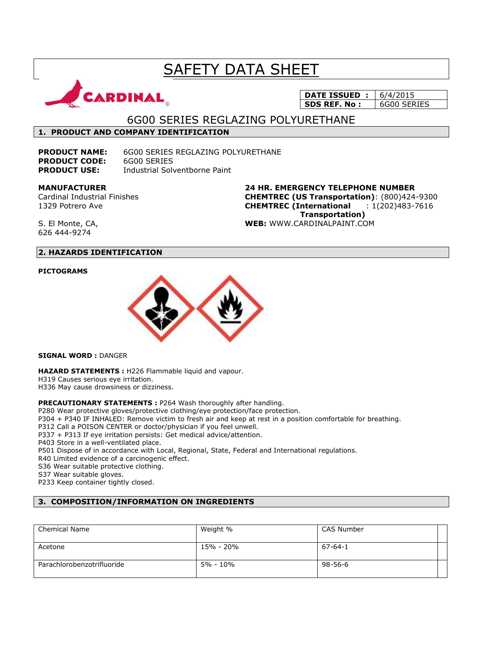# **SAFETY DATA SHEET**



## **DATE ISSUED :** 6/4/2015 **SDS REF. No :** 6G00 SERIES

6G00 SERIES REGLAZING POLYURETHANE

## **1. PRODUCT AND COMPANY IDENTIFICATION**

**PRODUCT CODE:** 6G00 SERIES

**PRODUCT NAME:** 6G00 SERIES REGLAZING POLYURETHANE **PRODUCT USE:** Industrial Solventborne Paint

## **MANUFACTURER**

Cardinal Industrial Finishes 1329 Potrero Ave

**24 HR. EMERGENCY TELEPHONE NUMBER CHEMTREC (US Transportation)**: (800)424-9300 **CHEMTREC (International** : 1(202)483-7616  **Transportation) WEB:** WWW.CARDINALPAINT.COM

S. El Monte, CA, 626 444-9274

## **2. HAZARDS IDENTIFICATION**

#### **PICTOGRAMS**



**SIGNAL WORD :** DANGER

**HAZARD STATEMENTS :** H226 Flammable liquid and vapour. H319 Causes serious eye irritation. H336 May cause drowsiness or dizziness.

**PRECAUTIONARY STATEMENTS :** P264 Wash thoroughly after handling.

P280 Wear protective gloves/protective clothing/eye protection/face protection.

P304 + P340 IF INHALED: Remove victim to fresh air and keep at rest in a position comfortable for breathing.

P312 Call a POISON CENTER or doctor/physician if you feel unwell.

P337 + P313 If eye irritation persists: Get medical advice/attention.

P403 Store in a well-ventilated place.

P501 Dispose of in accordance with Local, Regional, State, Federal and International regulations.

R40 Limited evidence of a carcinogenic effect.

S36 Wear suitable protective clothing.

S37 Wear suitable gloves.

P233 Keep container tightly closed.

## **3. COMPOSITION/INFORMATION ON INGREDIENTS**

| <b>Chemical Name</b>       | Weight %  | CAS Number    |  |
|----------------------------|-----------|---------------|--|
| Acetone                    | 15% - 20% | $67 - 64 - 1$ |  |
| Parachlorobenzotrifluoride | 5% - 10%  | $98 - 56 - 6$ |  |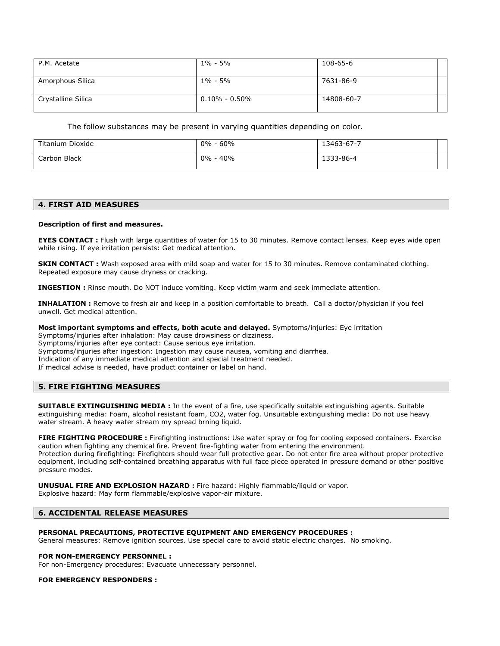| P.M. Acetate       | 1% - 5%             | 108-65-6   |  |
|--------------------|---------------------|------------|--|
| Amorphous Silica   | 1% - 5%             | 7631-86-9  |  |
| Crystalline Silica | $0.10\%$ - $0.50\%$ | 14808-60-7 |  |

The follow substances may be present in varying quantities depending on color.

| Titanium Dioxide | 60%<br>$0\%$ | 13463-67-7 |  |
|------------------|--------------|------------|--|
| Carbon Black     | 40%<br>$0\%$ | 1333-86-4  |  |

#### **4. FIRST AID MEASURES**

#### **Description of first and measures.**

**EYES CONTACT :** Flush with large quantities of water for 15 to 30 minutes. Remove contact lenses. Keep eyes wide open while rising. If eye irritation persists: Get medical attention.

**SKIN CONTACT :** Wash exposed area with mild soap and water for 15 to 30 minutes. Remove contaminated clothing. Repeated exposure may cause dryness or cracking.

**INGESTION :** Rinse mouth. Do NOT induce vomiting. Keep victim warm and seek immediate attention.

**INHALATION :** Remove to fresh air and keep in a position comfortable to breath. Call a doctor/physician if you feel unwell. Get medical attention.

#### **Most important symptoms and effects, both acute and delayed.** Symptoms/injuries: Eye irritation

Symptoms/injuries after inhalation: May cause drowsiness or dizziness. Symptoms/injuries after eye contact: Cause serious eye irritation. Symptoms/injuries after ingestion: Ingestion may cause nausea, vomiting and diarrhea. Indication of any immediate medical attention and special treatment needed. If medical advise is needed, have product container or label on hand.

### **5. FIRE FIGHTING MEASURES**

**SUITABLE EXTINGUISHING MEDIA :** In the event of a fire, use specifically suitable extinguishing agents. Suitable extinguishing media: Foam, alcohol resistant foam, CO2, water fog. Unsuitable extinguishing media: Do not use heavy water stream. A heavy water stream my spread brning liquid.

**FIRE FIGHTING PROCEDURE :** Firefighting instructions: Use water spray or fog for cooling exposed containers. Exercise caution when fighting any chemical fire. Prevent fire-fighting water from entering the environment. Protection during firefighting: Firefighters should wear full protective gear. Do not enter fire area without proper protective equipment, including self-contained breathing apparatus with full face piece operated in pressure demand or other positive pressure modes.

**UNUSUAL FIRE AND EXPLOSION HAZARD :** Fire hazard: Highly flammable/liquid or vapor. Explosive hazard: May form flammable/explosive vapor-air mixture.

#### **6. ACCIDENTAL RELEASE MEASURES**

#### **PERSONAL PRECAUTIONS, PROTECTIVE EQUIPMENT AND EMERGENCY PROCEDURES :**

General measures: Remove ignition sources. Use special care to avoid static electric charges. No smoking.

#### **FOR NON-EMERGENCY PERSONNEL :**

For non-Emergency procedures: Evacuate unnecessary personnel.

#### **FOR EMERGENCY RESPONDERS :**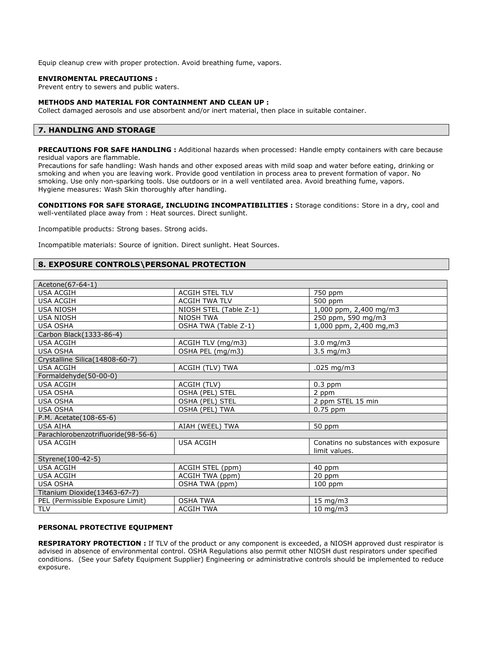Equip cleanup crew with proper protection. Avoid breathing fume, vapors.

#### **ENVIROMENTAL PRECAUTIONS :**

Prevent entry to sewers and public waters.

#### **METHODS AND MATERIAL FOR CONTAINMENT AND CLEAN UP :**

Collect damaged aerosols and use absorbent and/or inert material, then place in suitable container.

## **7. HANDLING AND STORAGE**

**PRECAUTIONS FOR SAFE HANDLING :** Additional hazards when processed: Handle empty containers with care because residual vapors are flammable.

Precautions for safe handling: Wash hands and other exposed areas with mild soap and water before eating, drinking or smoking and when you are leaving work. Provide good ventilation in process area to prevent formation of vapor. No smoking. Use only non-sparking tools. Use outdoors or in a well ventilated area. Avoid breathing fume, vapors. Hygiene measures: Wash Skin thoroughly after handling.

**CONDITIONS FOR SAFE STORAGE, INCLUDING INCOMPATIBILITIES :** Storage conditions: Store in a dry, cool and well-ventilated place away from : Heat sources. Direct sunlight.

Incompatible products: Strong bases. Strong acids.

Incompatible materials: Source of ignition. Direct sunlight. Heat Sources.

#### **8. EXPOSURE CONTROLS\PERSONAL PROTECTION**

| Acetone(67-64-1)                    |                        |                                      |
|-------------------------------------|------------------------|--------------------------------------|
| <b>USA ACGIH</b>                    | <b>ACGIH STEL TLV</b>  | 750 ppm                              |
| <b>USA ACGIH</b>                    | <b>ACGIH TWA TLV</b>   | 500 ppm                              |
| <b>USA NIOSH</b>                    | NIOSH STEL (Table Z-1) | 1,000 ppm, 2,400 mg/m3               |
| <b>USA NIOSH</b>                    | <b>NIOSH TWA</b>       | 250 ppm, 590 mg/m3                   |
| <b>USA OSHA</b>                     | OSHA TWA (Table Z-1)   | 1,000 ppm, 2,400 mg, m3              |
| Carbon Black(1333-86-4)             |                        |                                      |
| <b>USA ACGIH</b>                    | ACGIH TLV (mg/m3)      | $3.0$ mg/m $3$                       |
| <b>USA OSHA</b>                     | OSHA PEL (mg/m3)       | $3.5 \text{ mg/m}$                   |
| Crystalline Silica(14808-60-7)      |                        |                                      |
| <b>USA ACGIH</b>                    | ACGIH (TLV) TWA        | .025 mg/m3                           |
| Formaldehyde(50-00-0)               |                        |                                      |
| <b>USA ACGIH</b>                    | ACGIH (TLV)            | $0.3$ ppm                            |
| <b>USA OSHA</b>                     | OSHA (PEL) STEL        | 2 ppm                                |
| <b>USA OSHA</b>                     | OSHA (PEL) STEL        | 2 ppm STEL 15 min                    |
| <b>USA OSHA</b>                     | OSHA (PEL) TWA         | $0.75$ ppm                           |
| P.M. Acetate(108-65-6)              |                        |                                      |
| <b>USA AIHA</b>                     | AIAH (WEEL) TWA        | 50 ppm                               |
| Parachlorobenzotrifluoride(98-56-6) |                        |                                      |
| <b>USA ACGIH</b>                    | <b>USA ACGIH</b>       | Conatins no substances with exposure |
|                                     |                        | limit values.                        |
| Styrene(100-42-5)                   |                        |                                      |
| <b>USA ACGIH</b>                    | ACGIH STEL (ppm)       | 40 ppm                               |
| <b>USA ACGIH</b>                    | ACGIH TWA (ppm)        | 20 ppm                               |
| <b>USA OSHA</b>                     | OSHA TWA (ppm)         | 100 ppm                              |
| Titanium Dioxide(13463-67-7)        |                        |                                      |
| PEL (Permissible Exposure Limit)    | <b>OSHA TWA</b>        | $15 \text{ mg/m}$                    |
| <b>TLV</b>                          | <b>ACGIH TWA</b>       | $10$ mg/m3                           |

#### **PERSONAL PROTECTIVE EQUIPMENT**

**RESPIRATORY PROTECTION :** If TLV of the product or any component is exceeded, a NIOSH approved dust respirator is advised in absence of environmental control. OSHA Regulations also permit other NIOSH dust respirators under specified conditions. (See your Safety Equipment Supplier) Engineering or administrative controls should be implemented to reduce exposure.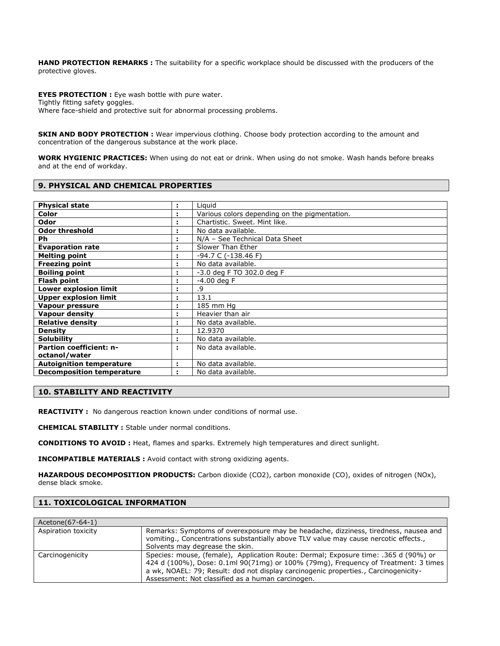**HAND PROTECTION REMARKS :** The suitability for a specific workplace should be discussed with the producers of the protective gloves.

**EYES PROTECTION :** Eye wash bottle with pure water. Tightly fitting safety goggles. Where face-shield and protective suit for abnormal processing problems.

**SKIN AND BODY PROTECTION :** Wear impervious clothing. Choose body protection according to the amount and concentration of the dangerous substance at the work place.

**WORK HYGIENIC PRACTICES:** When using do not eat or drink. When using do not smoke. Wash hands before breaks and at the end of workday.

#### **9. PHYSICAL AND CHEMICAL PROPERTIES**

| <b>Physical state</b>            | ÷ | Liguid                                        |
|----------------------------------|---|-----------------------------------------------|
| Color                            |   | Various colors depending on the pigmentation. |
| Odor                             |   | Chartistic. Sweet. Mint like.                 |
| <b>Odor threshold</b>            |   | No data available.                            |
| Ph.                              |   | N/A - See Technical Data Sheet                |
| <b>Evaporation rate</b>          |   | Slower Than Ether                             |
| <b>Melting point</b>             |   | -94.7 C (-138.46 F)                           |
| <b>Freezing point</b>            |   | No data available.                            |
| <b>Boiling point</b>             |   | -3.0 deg F TO 302.0 deg F                     |
| <b>Flash point</b>               |   | $-4.00$ deg F                                 |
| Lower explosion limit            |   | .9                                            |
| <b>Upper explosion limit</b>     |   | 13.1                                          |
| Vapour pressure                  |   | 185 mm Hg                                     |
| <b>Vapour density</b>            |   | Heavier than air                              |
| <b>Relative density</b>          |   | No data available.                            |
| <b>Density</b>                   |   | 12.9370                                       |
| <b>Solubility</b>                |   | No data available.                            |
| <b>Partion coefficient: n-</b>   | ÷ | No data available.                            |
| octanol/water                    |   |                                               |
| <b>Autoignition temperature</b>  |   | No data available.                            |
| <b>Decomposition temperature</b> |   | No data available.                            |

#### **10. STABILITY AND REACTIVITY**

**REACTIVITY :** No dangerous reaction known under conditions of normal use.

**CHEMICAL STABILITY :** Stable under normal conditions.

**CONDITIONS TO AVOID :** Heat, flames and sparks. Extremely high temperatures and direct sunlight.

**INCOMPATIBLE MATERIALS :** Avoid contact with strong oxidizing agents.

**HAZARDOUS DECOMPOSITION PRODUCTS:** Carbon dioxide (CO2), carbon monoxide (CO), oxides of nitrogen (NOx), dense black smoke.

## **11. TOXICOLOGICAL INFORMATION**

| Acetone(67-64-1)    |                                                                                                                                                                                                                                                                                                                       |
|---------------------|-----------------------------------------------------------------------------------------------------------------------------------------------------------------------------------------------------------------------------------------------------------------------------------------------------------------------|
| Aspiration toxicity | Remarks: Symptoms of overexposure may be headache, dizziness, tiredness, nausea and<br>vomiting., Concentrations substantially above TLV value may cause nercotic effects.,<br>Solvents may degrease the skin.                                                                                                        |
| Carcinogenicity     | Species: mouse, (female), Application Route: Dermal; Exposure time: .365 d (90%) or<br>424 d (100%), Dose: 0.1ml 90(71mg) or 100% (79mg), Frequency of Treatment: 3 times<br>a wk, NOAEL: 79; Result: dod not display carcinogenic properties., Carcinogenicity-<br>Assessment: Not classified as a human carcinogen. |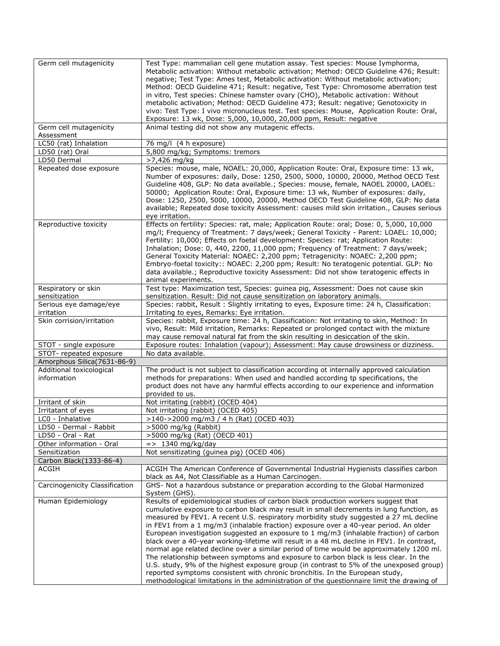| Germ cell mutagenicity         | Test Type: mammalian cell gene mutation assay. Test species: Mouse Iymphorma,              |
|--------------------------------|--------------------------------------------------------------------------------------------|
|                                | Metabolic activation: Without metabolic activation; Method: OECD Guideline 476; Result:    |
|                                | negative; Test Type: Ames test, Metabolic activation: Without metabolic activation;        |
|                                | Method: OECD Guideline 471; Result: negative, Test Type: Chromosome aberration test        |
|                                | in vitro, Test species: Chinese hamster ovary (CHO), Metabolic activation: Without         |
|                                | metabolic activation; Method: OECD Guideline 473; Result: negative; Genotoxicity in        |
|                                | vivo: Test Type: I vivo micronucleus test. Test species: Mouse, Application Route: Oral,   |
|                                | Exposure: 13 wk, Dose: 5,000, 10,000, 20,000 ppm, Result: negative                         |
| Germ cell mutagenicity         | Animal testing did not show any mutagenic effects.                                         |
| Assessment                     |                                                                                            |
| LC50 (rat) Inhalation          | 76 mg/l (4 h exposure)                                                                     |
| LD50 (rat) Oral                | 5,800 mg/kg; Symptoms: tremors                                                             |
| LD50 Dermal                    | >7,426 mg/kg                                                                               |
| Repeated dose exposure         | Species: mouse, male, NOAEL: 20,000, Application Route: Oral, Exposure time: 13 wk,        |
|                                | Number of exposures: daily, Dose: 1250, 2500, 5000, 10000, 20000, Method OECD Test         |
|                                | Guideline 408, GLP: No data available.; Species: mouse, female, NAOEL 20000, LAOEL:        |
|                                | 50000; Application Route: Oral, Exposure time: 13 wk, Number of exposures: daily,          |
|                                | Dose: 1250, 2500, 5000, 10000, 20000, Method OECD Test Guideline 408, GLP: No data         |
|                                | available; Repeated dose toxicity Assessment: causes mild skin irritation., Causes serious |
|                                | eye irritation.                                                                            |
| Reproductive toxicity          | Effects on fertility: Species: rat, male; Application Route: oral; Dose: 0, 5,000, 10,000  |
|                                | mq/l; Frequency of Treatment: 7 days/week; General Toxicity - Parent: LOAEL: 10,000;       |
|                                | Fertility: 10,000; Effects on foetal development: Species: rat; Application Route:         |
|                                | Inhalation; Dose: 0, 440, 2200, 11,000 ppm; Frequency of Treatment: 7 days/week;           |
|                                | General Toxicity Material: NOAEC: 2,200 ppm; Tetragenicity: NOAEC: 2,200 ppm;              |
|                                |                                                                                            |
|                                | Embryo-foetal toxicity:: NOAEC: 2,200 ppm; Result: No teratogenic potential. GLP: No       |
|                                | data available.; Reproductive toxicity Assessment: Did not show teratogenic effects in     |
|                                | animal experiments.                                                                        |
| Respiratory or skin            | Test type: Maximization test, Species: guinea pig, Assessment: Does not cause skin         |
| sensitization                  | sensitization. Result: Did not cause sensitization on laboratory animals.                  |
| Serious eye damage/eye         | Species: rabbit, Result: Slightly irritating to eyes, Exposure time: 24 h, Classification: |
| irritation                     | Irritating to eyes, Remarks: Eye irritation.                                               |
| Skin corrision/irritation      | Species: rabbit, Exposure time: 24 h, Classification: Not irritating to skin, Method: In   |
|                                | vivo, Result: Mild irritation, Remarks: Repeated or prolonged contact with the mixture     |
|                                | may cause removal natural fat from the skin resulting in desiccation of the skin.          |
| STOT - single exposure         | Exposure routes: Inhalation (vapour); Assessment: May cause drowsiness or dizziness.       |
| STOT- repeated exposure        | No data available.                                                                         |
| Amorphous Silica(7631-86-9)    |                                                                                            |
| Additional toxicological       | The product is not subject to classification according ot internally approved calculation  |
| information                    | methods for preparations: When used and handled according tp specifications, the           |
|                                | product does not have any harmful effects according to our experience and information      |
|                                | provided to us.                                                                            |
| Irritant of skin               | Not irritating (rabbit) (OCED 404)                                                         |
| Irritatant of eyes             | Not irritating (rabbit) (OCED 405)                                                         |
| LC0 - Inhalative               | >140->2000 mg/m3 / 4 h (Rat) (OCED 403)                                                    |
| LD50 - Dermal - Rabbit         | >5000 mg/kg (Rabbit)                                                                       |
| LD50 - Oral - Rat              | >5000 mg/kg (Rat) (OECD 401)                                                               |
| Other information - Oral       | $=$ > 1340 mg/kg/day                                                                       |
| Sensitization                  | Not sensitizating (guinea pig) (OCED 406)                                                  |
| Carbon Black(1333-86-4)        |                                                                                            |
| <b>ACGIH</b>                   | ACGIH The American Conference of Governmental Industrial Hygienists classifies carbon      |
|                                | black as A4, Not Classifiable as a Human Carcinogen.                                       |
| Carcinogenicity Classification | GHS- Not a hazardous substance or preparation according to the Global Harmonized           |
|                                | System (GHS).                                                                              |
| Human Epidemiology             | Results of epidemiological studies of carbon black production workers suggest that         |
|                                | cumulative exposure to carbon black may result in small decrements in lung function, as    |
|                                | measured by FEV1. A recent U.S. respiratory morbidity study suggested a 27 mL decline      |
|                                | in FEV1 from a 1 mg/m3 (inhalable fraction) exposure over a 40-year period. An older       |
|                                | European investigation suggested an exposure to 1 mg/m3 (inhalable fraction) of carbon     |
|                                | black over a 40-year working-lifetime will result in a 48 mL decline in FEV1. In contrast, |
|                                | normal age related decline over a similar period of time would be approximately 1200 ml.   |
|                                | The relationship between symptoms and exposure to carbon black is less clear. In the       |
|                                | U.S. study, 9% of the highest exposure group (in contrast to 5% of the unexposed group)    |
|                                | reported symptoms consistent with chronic bronchitis. In the European study,               |
|                                | methodological limitations in the administration of the questionnaire limit the drawing of |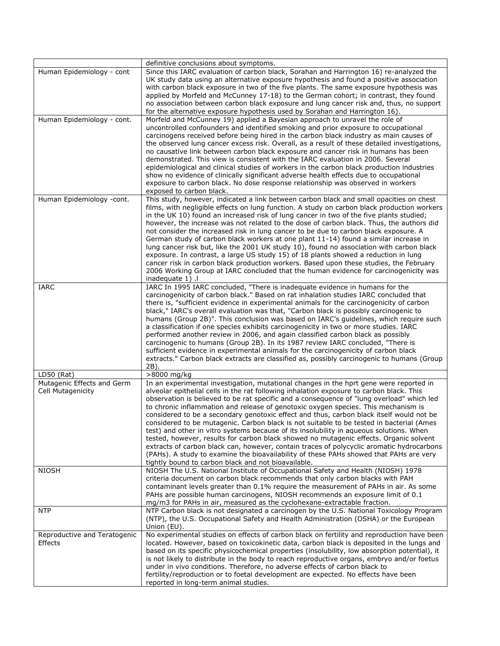|                                                 | definitive conclusions about symptoms.                                                                                                                                                                                                                                                                                                                                                                                                                                                                                                                                                                                                                                                                                                                                                                                                                                                                                                                                                           |
|-------------------------------------------------|--------------------------------------------------------------------------------------------------------------------------------------------------------------------------------------------------------------------------------------------------------------------------------------------------------------------------------------------------------------------------------------------------------------------------------------------------------------------------------------------------------------------------------------------------------------------------------------------------------------------------------------------------------------------------------------------------------------------------------------------------------------------------------------------------------------------------------------------------------------------------------------------------------------------------------------------------------------------------------------------------|
| Human Epidemiology - cont                       | Since this IARC evaluation of carbon black, Sorahan and Harrington 16) re-analyzed the<br>UK study data using an alternative exposure hypothesis and found a positive association<br>with carbon black exposure in two of the five plants. The same exposure hypothesis was<br>applied by Morfeld and McCunney 17-18) to the German cohort; in contrast, they found<br>no association between carbon black exposure and lung cancer risk and, thus, no support<br>for the alternative exposure hypothesis used by Sorahan and Harrington 16).                                                                                                                                                                                                                                                                                                                                                                                                                                                    |
| Human Epidemiology - cont.                      | Morfeld and McCunney 19) applied a Bayesian approach to unravel the role of<br>uncontrolled confounders and identified smoking and prior exposure to occupational<br>carcinogens received before being hired in the carbon black industry as main causes of<br>the observed lung cancer excess risk. Overall, as a result of these detailed investigations,<br>no causative link between carbon black exposure and cancer risk in humans has been<br>demonstrated. This view is consistent with the IARC evaluation in 2006. Several<br>epidemiological and clinical studies of workers in the carbon black production industries<br>show no evidence of clinically significant adverse health effects due to occupational<br>exposure to carbon black. No dose response relationship was observed in workers<br>exposed to carbon black.                                                                                                                                                        |
| Human Epidemiology -cont.                       | This study, however, indicated a link between carbon black and small opacities on chest<br>films, with negligible effects on lung function. A study on carbon black production workers<br>in the UK 10) found an increased risk of lung cancer in two of the five plants studied;<br>however, the increase was not related to the dose of carbon black. Thus, the authors did<br>not consider the increased risk in lung cancer to be due to carbon black exposure. A<br>German study of carbon black workers at one plant 11-14) found a similar increase in<br>lung cancer risk but, like the 2001 UK study 10), found no association with carbon black<br>exposure. In contrast, a large US study 15) of 18 plants showed a reduction in lung<br>cancer risk in carbon black production workers. Based upon these studies, the February<br>2006 Working Group at IARC concluded that the human evidence for carcinogenicity was<br>inadequate 1) .                                            |
| <b>IARC</b>                                     | IARC In 1995 IARC concluded, "There is inadequate evidence in humans for the<br>carcinogenicity of carbon black." Based on rat inhalation studies IARC concluded that<br>there is, "sufficient evidence in experimental animals for the carcinogenicity of carbon<br>black," IARC's overall evaluation was that, "Carbon black is possibly carcinogenic to<br>humans (Group 2B)". This conclusion was based on IARC's guidelines, which require such<br>a classification if one species exhibits carcinogenicity in two or more studies. IARC<br>performed another review in 2006, and again classified carbon black as possibly<br>carcinogenic to humans (Group 2B). In its 1987 review IARC concluded, "There is<br>sufficient evidence in experimental animals for the carcinogenicity of carbon black<br>extracts." Carbon black extracts are classified as, possibly carcinogenic to humans (Group<br>2B).                                                                                 |
| $LD50$ (Rat)                                    | >8000 mg/kg                                                                                                                                                                                                                                                                                                                                                                                                                                                                                                                                                                                                                                                                                                                                                                                                                                                                                                                                                                                      |
| Mutagenic Effects and Germ<br>Cell Mutagenicity | In an experimental investigation, mutational changes in the hprt gene were reported in<br>alveolar epithelial cells in the rat following inhalation exposure to carbon black. This<br>observation is believed to be rat specific and a consequence of "lung overload" which led<br>to chronic inflammation and release of genotoxic oxygen species. This mechanism is<br>considered to be a secondary genotoxic effect and thus, carbon black itself would not be<br>considered to be mutagenic. Carbon black is not suitable to be tested in bacterial (Ames<br>test) and other in vitro systems because of its insolubility in aqueous solutions. When<br>tested, however, results for carbon black showed no mutagenic effects. Organic solvent<br>extracts of carbon black can, however, contain traces of polycyclic aromatic hydrocarbons<br>(PAHs). A study to examine the bioavailability of these PAHs showed that PAHs are very<br>tightly bound to carbon black and not bioavailable. |
| <b>NIOSH</b>                                    | NIOSH The U.S. National Institute of Occupational Safety and Health (NIOSH) 1978<br>criteria document on carbon black recommends that only carbon blacks with PAH<br>contaminant levels greater than 0.1% require the measurement of PAHs in air. As some<br>PAHs are possible human carcinogens, NIOSH recommends an exposure limit of 0.1<br>mg/m3 for PAHs in air, measured as the cyclohexane-extractable fraction.                                                                                                                                                                                                                                                                                                                                                                                                                                                                                                                                                                          |
| <b>NTP</b>                                      | NTP Carbon black is not designated a carcinogen by the U.S. National Toxicology Program<br>(NTP), the U.S. Occupational Safety and Health Administration (OSHA) or the European<br>Union (EU).                                                                                                                                                                                                                                                                                                                                                                                                                                                                                                                                                                                                                                                                                                                                                                                                   |
| Reproductive and Teratogenic<br>Effects         | No experimental studies on effects of carbon black on fertility and reproduction have been<br>located. However, based on toxicokinetic data, carbon black is deposited in the lungs and<br>based on its specific physicochemical properties (insolubility, low absorption potential), it<br>is not likely to distribute in the body to reach reproductive organs, embryo and/or foetus<br>under in vivo conditions. Therefore, no adverse effects of carbon black to<br>fertility/reproduction or to foetal development are expected. No effects have been<br>reported in long-term animal studies.                                                                                                                                                                                                                                                                                                                                                                                              |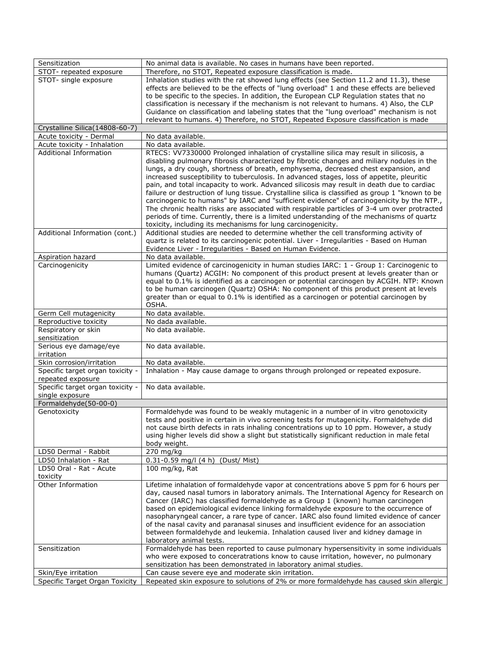| Sensitization                    | No animal data is available. No cases in humans have been reported.                                                                                                     |
|----------------------------------|-------------------------------------------------------------------------------------------------------------------------------------------------------------------------|
| STOT- repeated exposure          | Therefore, no STOT, Repeated exposure classification is made.                                                                                                           |
| STOT- single exposure            | Inhalation studies with the rat showed lung effects (see Section 11.2 and 11.3), these                                                                                  |
|                                  | effects are believed to be the effects of "lung overload" 1 and these effects are believed                                                                              |
|                                  | to be specific to the species. In addition, the European CLP Regulation states that no                                                                                  |
|                                  | classification is necessary if the mechanism is not relevant to humans. 4) Also, the CLP                                                                                |
|                                  | Guidance on classification and labeling states that the "lung overload" mechanism is not                                                                                |
|                                  | relevant to humans. 4) Therefore, no STOT, Repeated Exposure classification is made                                                                                     |
| Crystalline Silica(14808-60-7)   |                                                                                                                                                                         |
| Acute toxicity - Dermal          | No data available.                                                                                                                                                      |
| Acute toxicity - Inhalation      | No data available.                                                                                                                                                      |
| Additional Information           | RTECS: VV7330000 Prolonged inhalation of crystalline silica may result in silicosis, a                                                                                  |
|                                  | disabling pulmonary fibrosis characterized by fibrotic changes and miliary nodules in the                                                                               |
|                                  | lungs, a dry cough, shortness of breath, emphysema, decreased chest expansion, and                                                                                      |
|                                  | increased susceptibility to tuberculosis. In advanced stages, loss of appetite, pleuritic                                                                               |
|                                  | pain, and total incapacity to work. Advanced silicosis may result in death due to cardiac                                                                               |
|                                  | failure or destruction of lung tissue. Crystalline silica is classified as group 1 "known to be                                                                         |
|                                  | carcinogenic to humans" by IARC and "sufficient evidence" of carcinogenicity by the NTP.,                                                                               |
|                                  | The chronic health risks are associated with respirable particles of 3-4 um over protracted                                                                             |
|                                  | periods of time. Currently, there is a limited understanding of the mechanisms of quartz                                                                                |
|                                  | toxicity, including its mechanisms for lung carcinogenicity.                                                                                                            |
| Additional Information (cont.)   | Additional studies are needed to determine whether the cell transforming activity of                                                                                    |
|                                  | quartz is related to its carcinogenic potential. Liver - Irregularities - Based on Human                                                                                |
|                                  | Evidence Liver - Irregularities - Based on Human Evidence.                                                                                                              |
| Aspiration hazard                | No data available.                                                                                                                                                      |
| Carcinogenicity                  | Limited evidence of carcinogenicity in human studies IARC: 1 - Group 1: Carcinogenic to                                                                                 |
|                                  | humans (Quartz) ACGIH: No component of this product present at levels greater than or                                                                                   |
|                                  | equal to 0.1% is identified as a carcinogen or potential carcinogen by ACGIH. NTP: Known                                                                                |
|                                  | to be human carcinogen (Quartz) OSHA: No component of this product present at levels                                                                                    |
|                                  | greater than or equal to 0.1% is identified as a carcinogen or potential carcinogen by<br>OSHA.                                                                         |
| Germ Cell mutagenicity           | No data available.                                                                                                                                                      |
| Reproductive toxicity            | No dada available.                                                                                                                                                      |
| Respiratory or skin              | No data available.                                                                                                                                                      |
| sensitization                    |                                                                                                                                                                         |
| Serious eye damage/eye           | No data available.                                                                                                                                                      |
| irritation                       |                                                                                                                                                                         |
| Skin corrosion/irritation        | No data available.                                                                                                                                                      |
| Specific target organ toxicity - | Inhalation - May cause damage to organs through prolonged or repeated exposure.                                                                                         |
| repeated exposure                |                                                                                                                                                                         |
| Specific target organ toxicity - | No data available.                                                                                                                                                      |
| single exposure                  |                                                                                                                                                                         |
| Formaldehyde(50-00-0)            |                                                                                                                                                                         |
| Genotoxicity                     | Formaldehyde was found to be weakly mutagenic in a number of in vitro genotoxicity                                                                                      |
|                                  | tests and positive in certain in vivo screening tests for mutagenicity. Formaldehyde did                                                                                |
|                                  | not cause birth defects in rats inhaling concentrations up to 10 ppm. However, a study                                                                                  |
|                                  | using higher levels did show a slight but statistically significant reduction in male fetal                                                                             |
|                                  | body weight.                                                                                                                                                            |
| LD50 Dermal - Rabbit             | 270 mg/kg                                                                                                                                                               |
| LD50 Inhalation - Rat            | 0.31-0.59 mg/l (4 h) (Dust/ Mist)                                                                                                                                       |
| LD50 Oral - Rat - Acute          | 100 mg/kg, Rat                                                                                                                                                          |
| toxicity                         |                                                                                                                                                                         |
| Other Information                | Lifetime inhalation of formaldehyde vapor at concentrations above 5 ppm for 6 hours per                                                                                 |
|                                  | day, caused nasal tumors in laboratory animals. The International Agency for Research on                                                                                |
|                                  | Cancer (IARC) has classified formaldehyde as a Group 1 (known) human carcinogen<br>based on epidemiological evidence linking formaldehyde exposure to the occurrence of |
|                                  | nasopharyngeal cancer, a rare type of cancer. IARC also found limited evidence of cancer                                                                                |
|                                  | of the nasal cavity and paranasal sinuses and insufficient evidence for an association                                                                                  |
|                                  | between formaldehyde and leukemia. Inhalation caused liver and kidney damage in                                                                                         |
|                                  | laboratory animal tests.                                                                                                                                                |
| Sensitization                    | Formaldehyde has been reported to cause pulmonary hypersensitivity in some individuals                                                                                  |
|                                  | who were exposed to conceratrations know to cause irritation, however, no pulmonary                                                                                     |
|                                  | sensitization has been demonstrated in laboratory animal studies.                                                                                                       |
| Skin/Eye irritation              | Can cause severe eye and moderate skin irritation.                                                                                                                      |
| Specific Target Organ Toxicity   | Repeated skin exposure to solutions of 2% or more formaldehyde has caused skin allergic                                                                                 |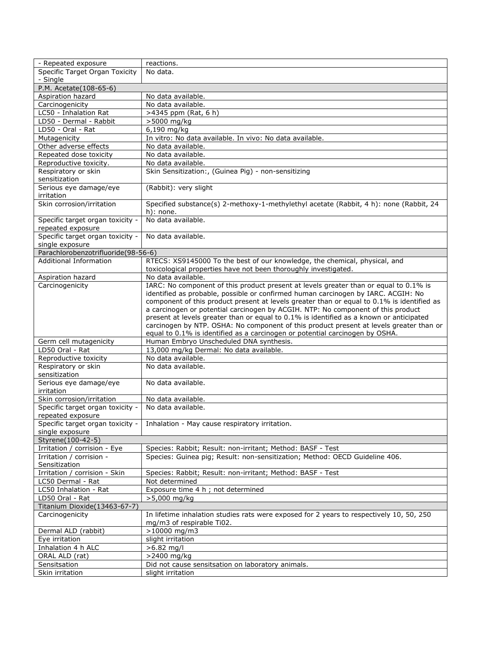| - Repeated exposure                 | reactions.                                                                                 |
|-------------------------------------|--------------------------------------------------------------------------------------------|
| Specific Target Organ Toxicity      | No data.                                                                                   |
| - Single                            |                                                                                            |
| P.M. Acetate(108-65-6)              |                                                                                            |
| Aspiration hazard                   | No data available.                                                                         |
| Carcinogenicity                     | No data available.                                                                         |
| LC50 - Inhalation Rat               | >4345 ppm (Rat, 6 h)                                                                       |
| LD50 - Dermal - Rabbit              | >5000 mg/kg                                                                                |
| LD50 - Oral - Rat                   | 6,190 mg/kg                                                                                |
| Mutagenicity                        | In vitro: No data available. In vivo: No data available.                                   |
| Other adverse effects               | No data available.                                                                         |
| Repeated dose toxicity              | No data available.                                                                         |
| Reproductive toxicity.              | No data available.                                                                         |
| Respiratory or skin                 | Skin Sensitization:, (Guinea Pig) - non-sensitizing                                        |
| sensitization                       |                                                                                            |
| Serious eye damage/eye              | (Rabbit): very slight                                                                      |
| irritation                          |                                                                                            |
| Skin corrosion/irritation           | Specified substance(s) 2-methoxy-1-methylethyl acetate (Rabbit, 4 h): none (Rabbit, 24     |
|                                     | $h)$ : none.                                                                               |
| Specific target organ toxicity -    | No data available.                                                                         |
| repeated exposure                   |                                                                                            |
| Specific target organ toxicity -    | No data available.                                                                         |
| single exposure                     |                                                                                            |
| Parachlorobenzotrifluoride(98-56-6) |                                                                                            |
| <b>Additional Information</b>       | RTECS: XS9145000 To the best of our knowledge, the chemical, physical, and                 |
|                                     | toxicological properties have not been thoroughly investigated.                            |
| Aspiration hazard                   | No data available.                                                                         |
| Carcinogenicity                     | IARC: No component of this product present at levels greater than or equal to 0.1% is      |
|                                     | identified as probable, possible or confirmed human carcinogen by IARC. ACGIH: No          |
|                                     | component of this product present at levels greater than or equal to 0.1% is identified as |
|                                     | a carcinogen or potential carcinogen by ACGIH. NTP: No component of this product           |
|                                     | present at levels greater than or equal to 0.1% is identified as a known or anticipated    |
|                                     | carcinogen by NTP. OSHA: No component of this product present at levels greater than or    |
|                                     | equal to 0.1% is identified as a carcinogen or potential carcinogen by OSHA.               |
| Germ cell mutagenicity              | Human Embryo Unscheduled DNA synthesis.                                                    |
| LD50 Oral - Rat                     | 13,000 mg/kg Dermal: No data available.                                                    |
| Reproductive toxicity               | No data available.                                                                         |
| Respiratory or skin                 | No data available.                                                                         |
| sensitization                       |                                                                                            |
| Serious eye damage/eye              | No data available.                                                                         |
| irritation                          |                                                                                            |
| Skin corrosion/irritation           | No data available.                                                                         |
| Specific target organ toxicity -    | No data available.                                                                         |
| repeated exposure                   |                                                                                            |
|                                     | Specific target organ toxicity -   Inhalation - May cause respiratory irritation           |
| single exposure                     |                                                                                            |
| Styrene(100-42-5)                   |                                                                                            |
| Irritation / corrision - Eye        | Species: Rabbit; Result: non-irritant; Method: BASF - Test                                 |
| Irritation / corrision -            | Species: Guinea pig; Result: non-sensitization; Method: OECD Guideline 406.                |
| Sensitization                       |                                                                                            |
| Irritation / corrision - Skin       | Species: Rabbit; Result: non-irritant; Method: BASF - Test                                 |
| LC50 Dermal - Rat                   | Not determined                                                                             |
| LC50 Inhalation - Rat               | Exposure time 4 h ; not determined                                                         |
| LD50 Oral - Rat                     | >5,000 mg/kg                                                                               |
| Titanium Dioxide(13463-67-7)        |                                                                                            |
| Carcinogenicity                     | In lifetime inhalation studies rats were exposed for 2 years to respectively 10, 50, 250   |
|                                     | mg/m3 of respirable Ti02.                                                                  |
| Dermal ALD (rabbit)                 | >10000 mg/m3                                                                               |
| Eye irritation                      | slight irritation                                                                          |
| Inhalation 4 h ALC                  | $>6.82$ mg/l                                                                               |
| ORAL ALD (rat)                      | >2400 mg/kg                                                                                |
| Sensitsation                        | Did not cause sensitsation on laboratory animals.                                          |
| Skin irritation                     | slight irritation                                                                          |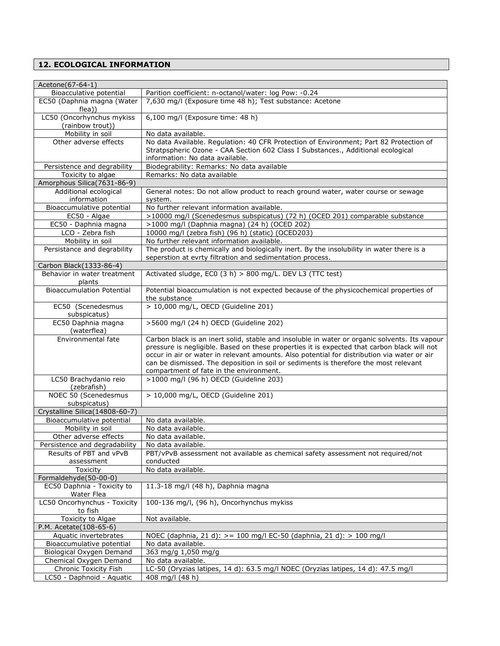## **12. ECOLOGICAL INFORMATION**

| Acetone(67-64-1)                              |                                                                                                                                                                                                                                                                                                                                                                                     |
|-----------------------------------------------|-------------------------------------------------------------------------------------------------------------------------------------------------------------------------------------------------------------------------------------------------------------------------------------------------------------------------------------------------------------------------------------|
| Bioacculative potential                       | Parition coefficient: n-octanol/water: log Pow: -0.24                                                                                                                                                                                                                                                                                                                               |
| EC50 (Daphnia magna (Water<br>flea))          | 7,630 mg/l (Exposure time 48 h); Test substance: Acetone                                                                                                                                                                                                                                                                                                                            |
| LC50 (Oncorhynchus mykiss<br>(rainbow trout)) | 6,100 mg/l (Exposure time: 48 h)                                                                                                                                                                                                                                                                                                                                                    |
| Mobility in soil                              | No data available.                                                                                                                                                                                                                                                                                                                                                                  |
| Other adverse effects                         | No data Available. Regulation: 40 CFR Protection of Environment; Part 82 Protection of                                                                                                                                                                                                                                                                                              |
|                                               | Stratpspheric Ozone - CAA Section 602 Class I Substances., Additional ecological                                                                                                                                                                                                                                                                                                    |
|                                               | information: No data available.                                                                                                                                                                                                                                                                                                                                                     |
| Persistence and degrability                   | Biodegrability: Remarks: No data available                                                                                                                                                                                                                                                                                                                                          |
| Toxicity to algae                             | Remarks: No data available                                                                                                                                                                                                                                                                                                                                                          |
| Amorphous Silica(7631-86-9)                   |                                                                                                                                                                                                                                                                                                                                                                                     |
| Additional ecological                         | General notes: Do not allow product to reach ground water, water course or sewage                                                                                                                                                                                                                                                                                                   |
| information                                   | system.                                                                                                                                                                                                                                                                                                                                                                             |
| Bioaccumulative potential                     | No further relevant information available.                                                                                                                                                                                                                                                                                                                                          |
| EC50 - Algae                                  | >10000 mg/l (Scenedesmus subspicatus) (72 h) (OCED 201) comparable substance                                                                                                                                                                                                                                                                                                        |
| EC50 - Daphnia magna                          | >1000 mg/l (Daphnia magna) (24 h) (OCED 202)                                                                                                                                                                                                                                                                                                                                        |
| LCO - Zebra fish                              | 10000 mg/l (zebra fish) (96 h) (static) (OCED203)                                                                                                                                                                                                                                                                                                                                   |
| Mobility in soil                              | No further relevant information available.                                                                                                                                                                                                                                                                                                                                          |
| Persistance and degrability                   | The product is chemically and biologically inert. By the insolubility in water there is a                                                                                                                                                                                                                                                                                           |
|                                               | seperstion at evrty filtration and sedimentation process.                                                                                                                                                                                                                                                                                                                           |
| Carbon Black(1333-86-4)                       |                                                                                                                                                                                                                                                                                                                                                                                     |
| Behavior in water treatment<br>plants         | Activated sludge, EC0 (3 h) > 800 mg/L. DEV L3 (TTC test)                                                                                                                                                                                                                                                                                                                           |
| <b>Bioaccumulation Potential</b>              | Potential bioaccumulation is not expected because of the physicochemical properties of<br>the substance                                                                                                                                                                                                                                                                             |
| EC50 (Scenedesmus<br>subspicatus)             | > 10,000 mg/L, OECD (Guideline 201)                                                                                                                                                                                                                                                                                                                                                 |
| EC50 Daphnia magna<br>(waterflea)             | >5600 mg/l (24 h) OECD (Guideline 202)                                                                                                                                                                                                                                                                                                                                              |
| Environmental fate                            | Carbon black is an inert solid, stable and insoluble in water or organic solvents. Its vapour<br>pressure is negligible. Based on these properties it is expected that carbon black will not<br>occur in air or water in relevant amounts. Also potential for distribution via water or air<br>can be dismissed. The deposition in soil or sediments is therefore the most relevant |
|                                               | compartment of fate in the environment.                                                                                                                                                                                                                                                                                                                                             |
| LC50 Brachydanio reio<br>(zebrafish)          | >1000 mg/l (96 h) OECD (Guideline 203)                                                                                                                                                                                                                                                                                                                                              |
| NOEC 50 (Scenedesmus<br>subspicatus)          | > 10,000 mg/L, OECD (Guideline 201)                                                                                                                                                                                                                                                                                                                                                 |
| Crystalline Silica(14808-60-7)                |                                                                                                                                                                                                                                                                                                                                                                                     |
| Bioaccumulative potential                     | No data available.                                                                                                                                                                                                                                                                                                                                                                  |
| Mobility in soil                              | No data available.                                                                                                                                                                                                                                                                                                                                                                  |
| Other adverse effects                         | No data available.                                                                                                                                                                                                                                                                                                                                                                  |
| Persistence and degradability                 | No data available.                                                                                                                                                                                                                                                                                                                                                                  |
| Results of PBT and vPvB                       | PBT/vPvB assessment not available as chemical safety assessment not required/not                                                                                                                                                                                                                                                                                                    |
| assessment                                    | conducted                                                                                                                                                                                                                                                                                                                                                                           |
| Toxicity                                      | No data available.                                                                                                                                                                                                                                                                                                                                                                  |
| Formaldehyde(50-00-0)                         |                                                                                                                                                                                                                                                                                                                                                                                     |
| EC50 Daphnia - Toxicity to<br>Water Flea      | 11.3-18 mg/l (48 h), Daphnia magna                                                                                                                                                                                                                                                                                                                                                  |
| LC50 Oncorhynchus - Toxicity<br>to fish       | 100-136 mg/l, (96 h), Oncorhynchus mykiss                                                                                                                                                                                                                                                                                                                                           |
| Toxicity to Algae                             | Not available.                                                                                                                                                                                                                                                                                                                                                                      |
| P.M. Acetate(108-65-6)                        |                                                                                                                                                                                                                                                                                                                                                                                     |
| Aquatic invertebrates                         | NOEC (daphnia, 21 d): > = 100 mg/l EC-50 (daphnia, 21 d): > 100 mg/l                                                                                                                                                                                                                                                                                                                |
| Bioaccumulative potential                     | No data available.                                                                                                                                                                                                                                                                                                                                                                  |
| Biological Oxygen Demand                      | 363 mg/g 1,050 mg/g                                                                                                                                                                                                                                                                                                                                                                 |
| Chemical Oxygen Demand                        | No data available.                                                                                                                                                                                                                                                                                                                                                                  |
| Chronic Toxicity Fish                         | LC-50 (Oryzias latipes, 14 d): 63.5 mg/l NOEC (Oryzias latipes, 14 d): 47.5 mg/l                                                                                                                                                                                                                                                                                                    |
| LC50 - Daphnoid - Aquatic                     | 408 mg/l (48 h)                                                                                                                                                                                                                                                                                                                                                                     |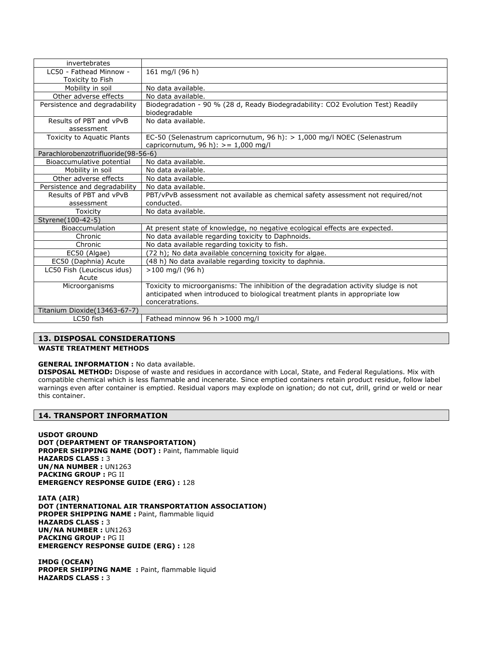| invertebrates                       |                                                                                                                                                                       |
|-------------------------------------|-----------------------------------------------------------------------------------------------------------------------------------------------------------------------|
| LC50 - Fathead Minnow -             | 161 mg/l (96 h)                                                                                                                                                       |
| Toxicity to Fish                    |                                                                                                                                                                       |
| Mobility in soil                    | No data available.                                                                                                                                                    |
| Other adverse effects               | No data available.                                                                                                                                                    |
| Persistence and degradability       | Biodegradation - 90 % (28 d, Ready Biodegradability: CO2 Evolution Test) Readily<br>biodegradable                                                                     |
| Results of PBT and vPvB             | No data available.                                                                                                                                                    |
| assessment                          |                                                                                                                                                                       |
| Toxicity to Aquatic Plants          | EC-50 (Selenastrum capricornutum, 96 h): > 1,000 mg/l NOEC (Selenastrum<br>capricornutum, 96 h): $> = 1,000$ mg/l                                                     |
| Parachlorobenzotrifluoride(98-56-6) |                                                                                                                                                                       |
| Bioaccumulative potential           | No data available.                                                                                                                                                    |
| Mobility in soil                    | No data available.                                                                                                                                                    |
| Other adverse effects               | No data available.                                                                                                                                                    |
| Persistence and degradability       | No data available.                                                                                                                                                    |
| Results of PBT and vPvB             | PBT/vPvB assessment not available as chemical safety assessment not required/not                                                                                      |
| assessment                          | conducted.                                                                                                                                                            |
| Toxicity                            | No data available.                                                                                                                                                    |
| Styrene(100-42-5)                   |                                                                                                                                                                       |
| Bioaccumulation                     | At present state of knowledge, no negative ecological effects are expected.                                                                                           |
| Chronic                             | No data available regarding toxicity to Daphnoids.                                                                                                                    |
| Chronic                             | No data available regarding toxicity to fish.                                                                                                                         |
| EC50 (Algae)                        | (72 h); No data available concerning toxicity for algae.                                                                                                              |
| EC50 (Daphnia) Acute                | (48 h) No data available regarding toxicity to daphnia.                                                                                                               |
| LC50 Fish (Leuciscus idus)          | $>100$ mg/l (96 h)                                                                                                                                                    |
| Acute                               |                                                                                                                                                                       |
| Microorganisms                      | Toxicity to microorganisms: The inhibition of the degradation activity sludge is not<br>anticipated when introduced to biological treatment plants in appropriate low |
| Titanium Dioxide(13463-67-7)        | conceratrations.                                                                                                                                                      |
| LC50 fish                           |                                                                                                                                                                       |
|                                     | Fathead minnow 96 h >1000 mg/l                                                                                                                                        |

## **13. DISPOSAL CONSIDERATIONS**

## **WASTE TREATMENT METHODS**

#### **GENERAL INFORMATION :** No data available.

**DISPOSAL METHOD:** Dispose of waste and residues in accordance with Local, State, and Federal Regulations. Mix with compatible chemical which is less flammable and incenerate. Since emptied containers retain product residue, follow label warnings even after container is emptied. Residual vapors may explode on ignation; do not cut, drill, grind or weld or near this container.

#### **14. TRANSPORT INFORMATION**

**USDOT GROUND DOT (DEPARTMENT OF TRANSPORTATION)** PROPER SHIPPING NAME (DOT) : Paint, flammable liquid **HAZARDS CLASS :** 3 **UN/NA NUMBER :** UN1263 **PACKING GROUP :** PG II **EMERGENCY RESPONSE GUIDE (ERG) :** 128

**IATA (AIR) DOT (INTERNATIONAL AIR TRANSPORTATION ASSOCIATION) PROPER SHIPPING NAME :** Paint, flammable liquid **HAZARDS CLASS :** 3 **UN/NA NUMBER :** UN1263 **PACKING GROUP :** PG II **EMERGENCY RESPONSE GUIDE (ERG) :** 128

**IMDG (OCEAN)** PROPER SHIPPING NAME : Paint, flammable liquid **HAZARDS CLASS :** 3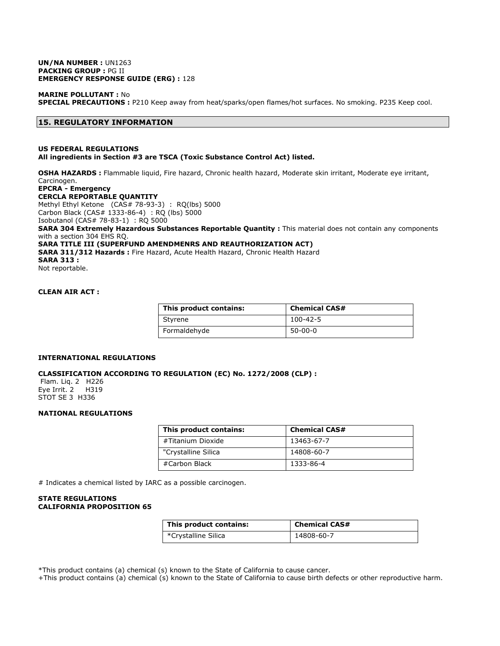#### **UN/NA NUMBER :** UN1263 **PACKING GROUP :** PG II **EMERGENCY RESPONSE GUIDE (ERG) :** 128

**MARINE POLLUTANT :** No **SPECIAL PRECAUTIONS :** P210 Keep away from heat/sparks/open flames/hot surfaces. No smoking. P235 Keep cool.

#### **15. REGULATORY INFORMATION**

#### **US FEDERAL REGULATIONS All ingredients in Section #3 are TSCA (Toxic Substance Control Act) listed.**

**OSHA HAZARDS :** Flammable liquid, Fire hazard, Chronic health hazard, Moderate skin irritant, Moderate eye irritant, Carcinogen. **EPCRA - Emergency** 

**CERCLA REPORTABLE QUANTITY**

Methyl Ethyl Ketone (CAS# 78-93-3) : RQ(lbs) 5000

Carbon Black (CAS# 1333-86-4) : RQ (lbs) 5000

Isobutanol (CAS# 78-83-1) : RQ 5000

**SARA 304 Extremely Hazardous Substances Reportable Quantity :** This material does not contain any components with a section 304 EHS RQ.

**SARA TITLE III (SUPERFUND AMENDMENRS AND REAUTHORIZATION ACT) SARA 311/312 Hazards :** Fire Hazard, Acute Health Hazard, Chronic Health Hazard **SARA 313 :**

Not reportable.

## **CLEAN AIR ACT :**

| This product contains: | <b>Chemical CAS#</b> |
|------------------------|----------------------|
| Styrene                | $100 - 42 - 5$       |
| Formaldehyde           | $50 - 00 - 0$        |

#### **INTERNATIONAL REGULATIONS**

#### **CLASSIFICATION ACCORDING TO REGULATION (EC) No. 1272/2008 (CLP) :**

Flam. Liq. 2 H226 Eye Irrit. 2 H319 STOT SE 3 H336

#### **NATIONAL REGULATIONS**

| This product contains: | <b>Chemical CAS#</b> |
|------------------------|----------------------|
| #Titanium Dioxide      | 13463-67-7           |
| "Crystalline Silica    | 14808-60-7           |
| #Carbon Black          | 1333-86-4            |

# Indicates a chemical listed by IARC as a possible carcinogen.

#### **STATE REGULATIONS CALIFORNIA PROPOSITION 65**

| This product contains: | <b>Chemical CAS#</b> |
|------------------------|----------------------|
| *Crystalline Silica    | 14808-60-7           |

\*This product contains (a) chemical (s) known to the State of California to cause cancer.

+This product contains (a) chemical (s) known to the State of California to cause birth defects or other reproductive harm.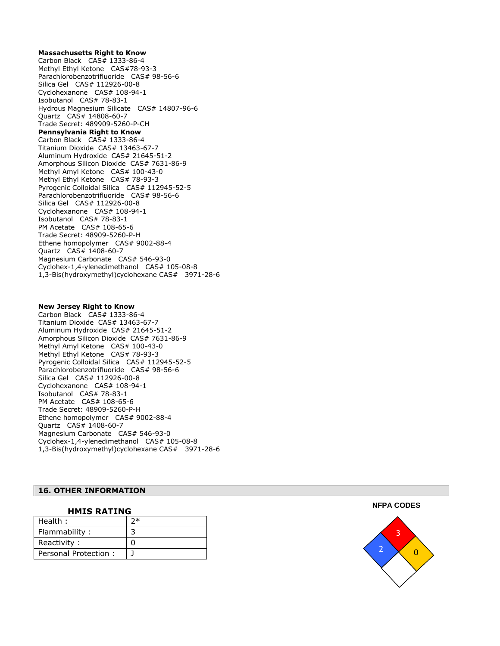#### **Massachusetts Right to Know**

Carbon Black CAS# 1333-86-4 Methyl Ethyl Ketone CAS#78-93-3 Parachlorobenzotrifluoride CAS# 98-56-6 Silica Gel CAS# 112926 -00 - 8 Cyclohexanone CAS# 108-94-1 Isobutanol CAS# 78 -83 - 1 Hydrous Magnesium Silicate CAS# 14807 -96 - 6 Quartz CAS# 14808-60-7 Trade Secret: 489909 -5260 - P -CH **Pennsylvania Right to Know** Carbon Black CAS# 1333-86-4 Titanium Dioxide CAS# 13463 -67 - 7 Aluminum Hydroxide CAS# 21645 -51 - 2 Amorphous Silicon Dioxide CAS# 7631 -86 - 9 Methyl Amyl Ketone CAS# 100 -43 - 0 Methyl Ethyl Ketone CAS# 78-93-3 Pyrogenic Colloidal Silica CAS# 112945-52-5 Parachlorobenzotrifluoride CAS# 98-56-6 Silica Gel CAS# 112926 -00 - 8 Cyclohexanone CAS# 108-94-1 Isobutanol CAS# 78 -83 - 1 PM Acetate CAS# 108-65-6 Trade Secret: 48909-5260-P-H Ethene homopolymer CAS# 9002-88-4 Quartz CAS# 1408-60-7 Magnesium Carbonate CAS# 546-93-0 Cyclohex-1,4-ylenedimethanol CAS# 105-08-8 1,3 -Bis(hydroxymethyl)cyclohexane CAS# 3971 -28 - 6

#### **New Jersey Right to Know**

Carbon Black CAS# 1333-86-4 Titanium Dioxide CAS# 13463 -67 - 7 Aluminum Hydroxide CAS# 21645 -51 - 2 Amorphous Silicon Dioxide CAS# 7631 -86 - 9 Methyl Amyl Ketone CAS# 100 -43 - 0 Methyl Ethyl Ketone CAS# 78-93-3 Pyrogenic Colloidal Silica CAS# 112945-52-5 Parachlorobenzotrifluoride CAS# 98-56-6 Silica Gel CAS# 112926-00-8 Cyclohexanone CAS# 108-94-1 Isobutanol CAS# 78-83-1 PM Acetate CAS# 108 -65 - 6 Trade Secret: 48909-5260-P-H Ethene homopolymer CAS# 9002-88-4 Quartz CAS# 1408-60-7 Magnesium Carbonate CAS# 546-93-0 Cyclohex -1,4 -ylenedimethanol CAS# 105 -08 - 8 1,3 -Bis(hydroxymethyl)cyclohexane CAS# 3971 -28 - 6

#### **16. OTHER INFORMATION**

| <b>HMIS RATING</b>   |     |  |
|----------------------|-----|--|
| Health:              | א ( |  |
| Flammability:        |     |  |
| Reactivity:          |     |  |
| Personal Protection: |     |  |